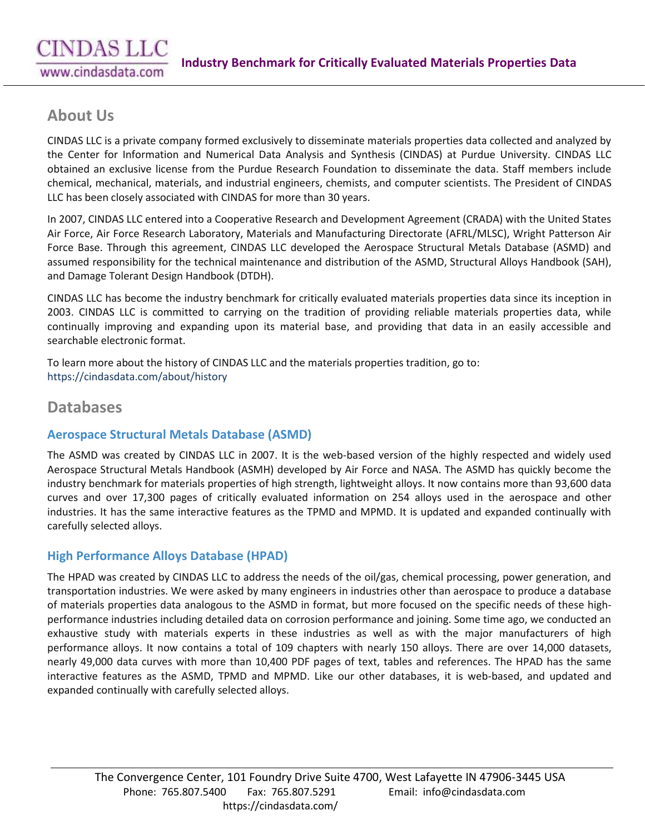# **About Us**

CINDAS LLC is a private company formed exclusively to disseminate materials properties data collected and analyzed by the Center for Information and Numerical Data Analysis and Synthesis (CINDAS) at Purdue University. CINDAS LLC obtained an exclusive license from the Purdue Research Foundation to disseminate the data. Staff members include chemical, mechanical, materials, and industrial engineers, chemists, and computer scientists. The President of CINDAS LLC has been closely associated with CINDAS for more than 30 years.

In 2007, CINDAS LLC entered into a Cooperative Research and Development Agreement (CRADA) with the United States Air Force, Air Force Research Laboratory, Materials and Manufacturing Directorate (AFRL/MLSC), Wright Patterson Air Force Base. Through this agreement, CINDAS LLC developed the Aerospace Structural Metals Database (ASMD) and assumed responsibility for the technical maintenance and distribution of the ASMD, Structural Alloys Handbook (SAH), and Damage Tolerant Design Handbook (DTDH).

CINDAS LLC has become the industry benchmark for critically evaluated materials properties data since its inception in 2003. CINDAS LLC is committed to carrying on the tradition of providing reliable materials properties data, while continually improving and expanding upon its material base, and providing that data in an easily accessible and searchable electronic format.

To learn more about the history of CINDAS LLC and the materials properties tradition, go to: <https://cindasdata.com/about/history>

# **Databases**

## **[Aerospace Structural Metals Database \(ASMD\)](https://cindasdata.com/products/asmd)**

The ASMD was created by CINDAS LLC in 2007. It is the web-based version of the highly respected and widely used Aerospace Structural Metals Handbook (ASMH) developed by Air Force and NASA. The ASMD has quickly become the industry benchmark for materials properties of high strength, lightweight alloys. It now contains more than 93,600 data curves and over 17,300 pages of critically evaluated information on 254 alloys used in the aerospace and other industries. It has the same interactive features as the TPMD and MPMD. It is updated and expanded continually with carefully selected alloys.

# **[High Performance Alloys Database \(HPAD\)](https://cindasdata.com/products/hpad)**

The HPAD was created by CINDAS LLC to address the needs of the oil/gas, chemical processing, power generation, and transportation industries. We were asked by many engineers in industries other than aerospace to produce a database of materials properties data analogous to the ASMD in format, but more focused on the specific needs of these highperformance industries including detailed data on corrosion performance and joining. Some time ago, we conducted an exhaustive study with materials experts in these industries as well as with the major manufacturers of high performance alloys. It now contains a total of 109 chapters with nearly 150 alloys. There are over 14,000 datasets, nearly 49,000 data curves with more than 10,400 PDF pages of text, tables and references. The HPAD has the same interactive features as the ASMD, TPMD and MPMD. Like our other databases, it is web-based, and updated and expanded continually with carefully selected alloys.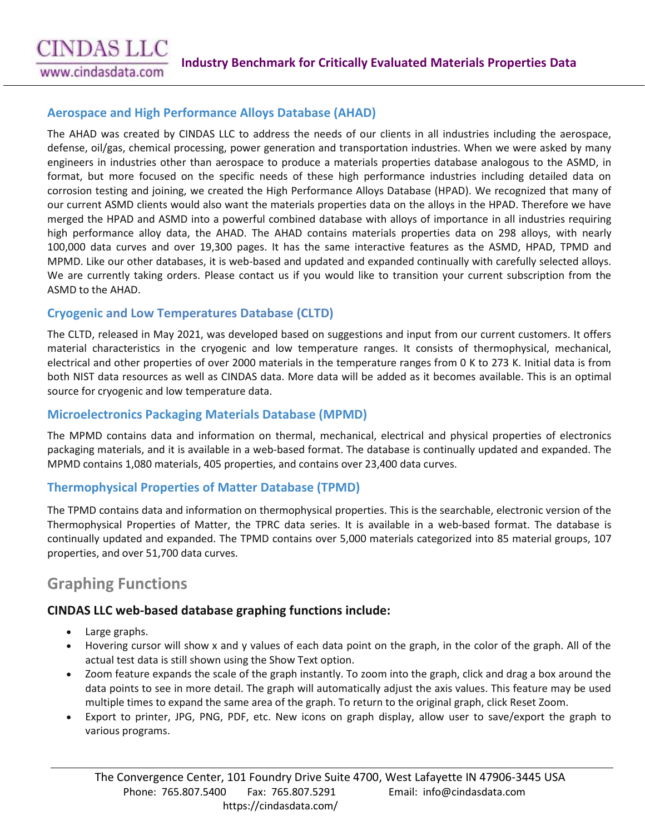# **CINDAS LLC**

www.cindasdata.com

#### **[Aerospace and High Performance Alloys Database \(AHAD\)](https://cindasdata.com/products/ahad)**

The AHAD was created by CINDAS LLC to address the needs of our clients in all industries including the aerospace, defense, oil/gas, chemical processing, power generation and transportation industries. When we were asked by many engineers in industries other than aerospace to produce a materials properties database analogous to the ASMD, in format, but more focused on the specific needs of these high performance industries including detailed data on corrosion testing and joining, we created the High Performance Alloys Database (HPAD). We recognized that many of our current ASMD clients would also want the materials properties data on the alloys in the HPAD. Therefore we have merged the HPAD and ASMD into a powerful combined database with alloys of importance in all industries requiring high performance alloy data, the AHAD. The AHAD contains materials properties data on 298 alloys, with nearly 100,000 data curves and over 19,300 pages. It has the same interactive features as the ASMD, HPAD, TPMD and MPMD. Like our other databases, it is web-based and updated and expanded continually with carefully selected alloys. We are currently taking orders. Please contact us if you would like to transition your current subscription from the ASMD to the AHAD.

#### **[Cryogenic](https://cindasdata.com/products/ahad) and Low Temperatures Database (CLTD)**

The CLTD, released in May 2021, was developed based on suggestions and input from our current customers. It offers material characteristics in the cryogenic and low temperature ranges. It consists of thermophysical, mechanical, electrical and other properties of over 2000 materials in the temperature ranges from 0 K to 273 K. Initial data is from both NIST data resources as well as CINDAS data. More data will be added as it becomes available. This is an optimal source for cryogenic and low temperature data.

#### **[Microelectronics Packaging Materials Database \(MPMD\)](https://cindasdata.com/products/mpmd)**

The MPMD contains data and information on thermal, mechanical, electrical and physical properties of electronics packaging materials, and it is available in a web-based format. The database is continually updated and expanded. The MPMD contains 1,080 materials, 405 properties, and contains over 23,400 data curves.

## **[Thermophysical Properties of Matter Database \(TPMD\)](https://cindasdata.com/products/tpmd)**

The TPMD contains data and information on thermophysical properties. This is the searchable, electronic version of the Thermophysical Properties of Matter, the TPRC data series. It is available in a web-based format. The database is continually updated and expanded. The TPMD contains over 5,000 materials categorized into 85 material groups, 107 properties, and over 51,700 data curves.

# **Graphing Functions**

#### **CINDAS LLC web-based database graphing functions include:**

- Large graphs.
- Hovering cursor will show x and y values of each data point on the graph, in the color of the graph. All of the actual test data is still shown using the Show Text option.
- Zoom feature expands the scale of the graph instantly. To zoom into the graph, click and drag a box around the data points to see in more detail. The graph will automatically adjust the axis values. This feature may be used multiple times to expand the same area of the graph. To return to the original graph, click Reset Zoom.
- Export to printer, JPG, PNG, PDF, etc. New icons on graph display, allow user to save/export the graph to various programs.